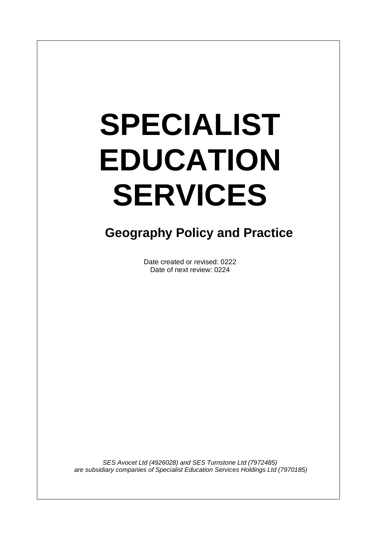# **SPECIALIST EDUCATION SERVICES**

# **Geography Policy and Practice**

Date created or revised: 0222 Date of next review: 0224

*SES Avocet Ltd (4926028) and SES Turnstone Ltd (7972485) are subsidiary companies of Specialist Education Services Holdings Ltd (7970185)*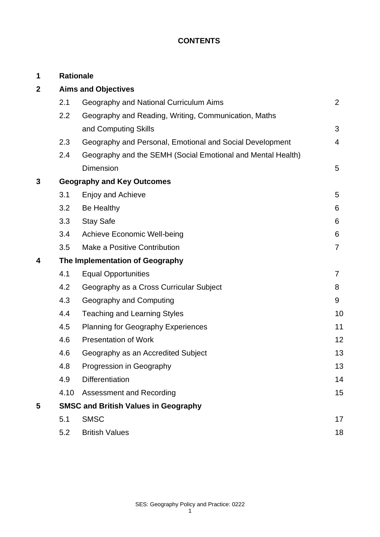# **CONTENTS**

| 1           |                                             | <b>Rationale</b>                                            |                |
|-------------|---------------------------------------------|-------------------------------------------------------------|----------------|
| $\mathbf 2$ | <b>Aims and Objectives</b>                  |                                                             |                |
|             | 2.1                                         | Geography and National Curriculum Aims                      | $\overline{2}$ |
|             | 2.2                                         | Geography and Reading, Writing, Communication, Maths        |                |
|             |                                             | and Computing Skills                                        | 3              |
|             | 2.3                                         | Geography and Personal, Emotional and Social Development    | 4              |
|             | 2.4                                         | Geography and the SEMH (Social Emotional and Mental Health) |                |
|             |                                             | <b>Dimension</b>                                            | 5              |
| 3           | <b>Geography and Key Outcomes</b>           |                                                             |                |
|             | 3.1                                         | Enjoy and Achieve                                           | 5              |
|             | 3.2                                         | Be Healthy                                                  | 6              |
|             | 3.3                                         | <b>Stay Safe</b>                                            | 6              |
|             | 3.4                                         | <b>Achieve Economic Well-being</b>                          | 6              |
|             | 3.5                                         | Make a Positive Contribution                                | $\overline{7}$ |
| 4           | The Implementation of Geography             |                                                             |                |
|             | 4.1                                         | <b>Equal Opportunities</b>                                  | $\overline{7}$ |
|             | 4.2                                         | Geography as a Cross Curricular Subject                     | 8              |
|             | 4.3                                         | Geography and Computing                                     | 9              |
|             | 4.4                                         | <b>Teaching and Learning Styles</b>                         | 10             |
|             | 4.5                                         | <b>Planning for Geography Experiences</b>                   | 11             |
|             | 4.6                                         | <b>Presentation of Work</b>                                 | 12             |
|             | 4.6                                         | Geography as an Accredited Subject                          | 13             |
|             | 4.8                                         | Progression in Geography                                    | 13             |
|             | 4.9                                         | <b>Differentiation</b>                                      | 14             |
|             | 4.10                                        | <b>Assessment and Recording</b>                             | 15             |
| 5           | <b>SMSC and British Values in Geography</b> |                                                             |                |
|             | 5.1                                         | <b>SMSC</b>                                                 | 17             |
|             | 5.2                                         | <b>British Values</b>                                       | 18             |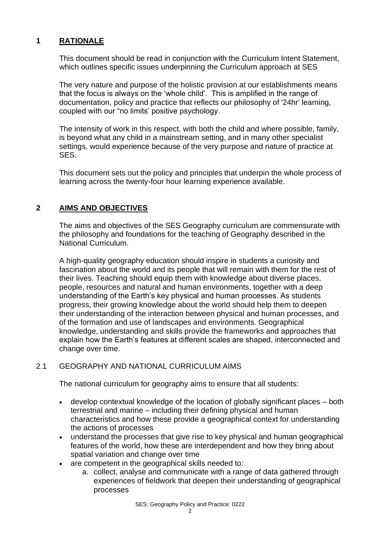# **1 RATIONALE**

This document should be read in conjunction with the Curriculum Intent Statement, which outlines specific issues underpinning the Curriculum approach at SES

The very nature and purpose of the holistic provision at our establishments means that the focus is always on the 'whole child'. This is amplified in the range of documentation, policy and practice that reflects our philosophy of '24hr' learning, coupled with our "no limits' positive psychology.

The intensity of work in this respect, with both the child and where possible, family, is beyond what any child in a mainstream setting, and in many other specialist settings, would experience because of the very purpose and nature of practice at SES.

This document sets out the policy and principles that underpin the whole process of learning across the twenty-four hour learning experience available.

# **2 AIMS AND OBJECTIVES**

The aims and objectives of the SES Geography curriculum are commensurate with the philosophy and foundations for the teaching of Geography described in the National Curriculum.

A high-quality geography education should inspire in students a curiosity and fascination about the world and its people that will remain with them for the rest of their lives. Teaching should equip them with knowledge about diverse places, people, resources and natural and human environments, together with a deep understanding of the Earth's key physical and human processes. As students progress, their growing knowledge about the world should help them to deepen their understanding of the interaction between physical and human processes, and of the formation and use of landscapes and environments. Geographical knowledge, understanding and skills provide the frameworks and approaches that explain how the Earth's features at different scales are shaped, interconnected and change over time.

# 2.1 GEOGRAPHY AND NATIONAL CURRICULUM AIMS

The national curriculum for geography aims to ensure that all students:

- develop contextual knowledge of the location of globally significant places both terrestrial and marine – including their defining physical and human characteristics and how these provide a geographical context for understanding the actions of processes
- understand the processes that give rise to key physical and human geographical features of the world, how these are interdependent and how they bring about spatial variation and change over time
- are competent in the geographical skills needed to:
	- a. collect, analyse and communicate with a range of data gathered through experiences of fieldwork that deepen their understanding of geographical processes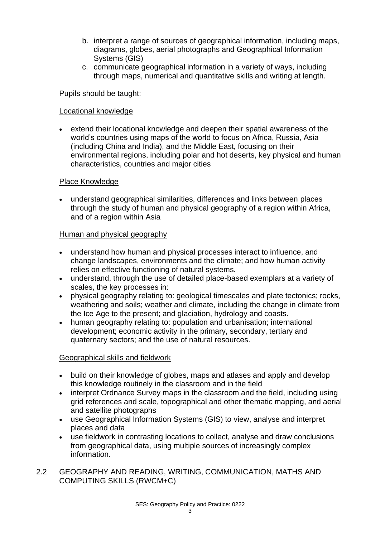- b. interpret a range of sources of geographical information, including maps, diagrams, globes, aerial photographs and Geographical Information Systems (GIS)
- c. communicate geographical information in a variety of ways, including through maps, numerical and quantitative skills and writing at length.

# Pupils should be taught:

# Locational knowledge

• extend their locational knowledge and deepen their spatial awareness of the world's countries using maps of the world to focus on Africa, Russia, Asia (including China and India), and the Middle East, focusing on their environmental regions, including polar and hot deserts, key physical and human characteristics, countries and major cities

# Place Knowledge

• understand geographical similarities, differences and links between places through the study of human and physical geography of a region within Africa, and of a region within Asia

# Human and physical geography

- understand how human and physical processes interact to influence, and change landscapes, environments and the climate; and how human activity relies on effective functioning of natural systems.
- understand, through the use of detailed place-based exemplars at a variety of scales, the key processes in:
- physical geography relating to: geological timescales and plate tectonics; rocks, weathering and soils; weather and climate, including the change in climate from the Ice Age to the present; and glaciation, hydrology and coasts.
- human geography relating to: population and urbanisation; international development; economic activity in the primary, secondary, tertiary and quaternary sectors; and the use of natural resources.

# Geographical skills and fieldwork

- build on their knowledge of globes, maps and atlases and apply and develop this knowledge routinely in the classroom and in the field
- interpret Ordnance Survey maps in the classroom and the field, including using grid references and scale, topographical and other thematic mapping, and aerial and satellite photographs
- use Geographical Information Systems (GIS) to view, analyse and interpret places and data
- use fieldwork in contrasting locations to collect, analyse and draw conclusions from geographical data, using multiple sources of increasingly complex information.
- 2.2 GEOGRAPHY AND READING, WRITING, COMMUNICATION, MATHS AND COMPUTING SKILLS (RWCM+C)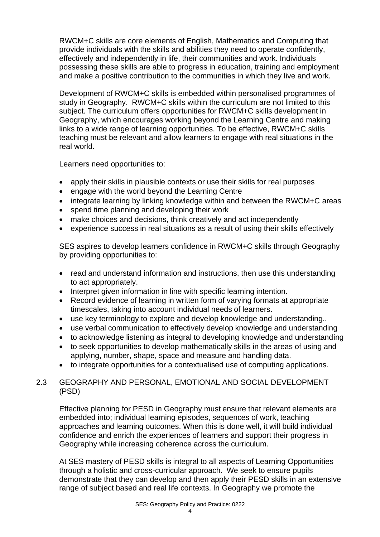RWCM+C skills are core elements of English, Mathematics and Computing that provide individuals with the skills and abilities they need to operate confidently, effectively and independently in life, their communities and work. Individuals possessing these skills are able to progress in education, training and employment and make a positive contribution to the communities in which they live and work.

Development of RWCM+C skills is embedded within personalised programmes of study in Geography. RWCM+C skills within the curriculum are not limited to this subject. The curriculum offers opportunities for RWCM+C skills development in Geography, which encourages working beyond the Learning Centre and making links to a wide range of learning opportunities. To be effective, RWCM+C skills teaching must be relevant and allow learners to engage with real situations in the real world.

Learners need opportunities to:

- apply their skills in plausible contexts or use their skills for real purposes
- engage with the world beyond the Learning Centre
- integrate learning by linking knowledge within and between the RWCM+C areas
- spend time planning and developing their work
- make choices and decisions, think creatively and act independently
- experience success in real situations as a result of using their skills effectively

SES aspires to develop learners confidence in RWCM+C skills through Geography by providing opportunities to:

- read and understand information and instructions, then use this understanding to act appropriately.
- Interpret given information in line with specific learning intention.
- Record evidence of learning in written form of varying formats at appropriate timescales, taking into account individual needs of learners.
- use key terminology to explore and develop knowledge and understanding..
- use verbal communication to effectively develop knowledge and understanding
- to acknowledge listening as integral to developing knowledge and understanding
- to seek opportunities to develop mathematically skills in the areas of using and applying, number, shape, space and measure and handling data.
- to integrate opportunities for a contextualised use of computing applications.

# 2.3 GEOGRAPHY AND PERSONAL, EMOTIONAL AND SOCIAL DEVELOPMENT (PSD)

Effective planning for PESD in Geography must ensure that relevant elements are embedded into; individual learning episodes, sequences of work, teaching approaches and learning outcomes. When this is done well, it will build individual confidence and enrich the experiences of learners and support their progress in Geography while increasing coherence across the curriculum.

At SES mastery of PESD skills is integral to all aspects of Learning Opportunities through a holistic and cross-curricular approach. We seek to ensure pupils demonstrate that they can develop and then apply their PESD skills in an extensive range of subject based and real life contexts. In Geography we promote the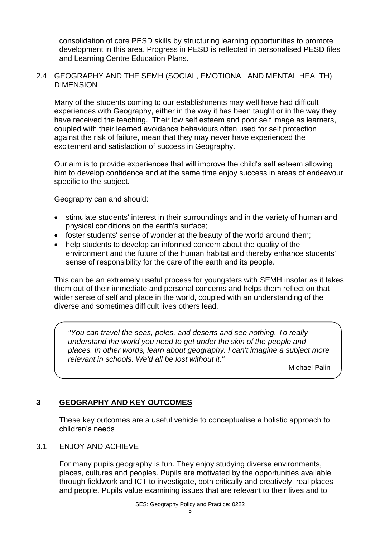consolidation of core PESD skills by structuring learning opportunities to promote development in this area. Progress in PESD is reflected in personalised PESD files and Learning Centre Education Plans.

#### 2.4 GEOGRAPHY AND THE SEMH (SOCIAL, EMOTIONAL AND MENTAL HEALTH) DIMENSION

Many of the students coming to our establishments may well have had difficult experiences with Geography, either in the way it has been taught or in the way they have received the teaching. Their low self esteem and poor self image as learners, coupled with their learned avoidance behaviours often used for self protection against the risk of failure, mean that they may never have experienced the excitement and satisfaction of success in Geography.

Our aim is to provide experiences that will improve the child's self esteem allowing him to develop confidence and at the same time enjoy success in areas of endeavour specific to the subject.

Geography can and should:

- stimulate students' interest in their surroundings and in the variety of human and physical conditions on the earth's surface;
- foster students' sense of wonder at the beauty of the world around them;
- help students to develop an informed concern about the quality of the environment and the future of the human habitat and thereby enhance students' sense of responsibility for the care of the earth and its people.

This can be an extremely useful process for youngsters with SEMH insofar as it takes them out of their immediate and personal concerns and helps them reflect on that wider sense of self and place in the world, coupled with an understanding of the diverse and sometimes difficult lives others lead.

*"You can travel the seas, poles, and deserts and see nothing. To really understand the world you need to get under the skin of the people and places. In other words, learn about geography. I can't imagine a subject more relevant in schools. We'd all be lost without it."*

Michael Palin

# **3 GEOGRAPHY AND KEY OUTCOMES**

These key outcomes are a useful vehicle to conceptualise a holistic approach to children's needs

# 3.1 ENJOY AND ACHIEVE

For many pupils geography is fun. They enjoy studying diverse environments, places, cultures and peoples. Pupils are motivated by the opportunities available through fieldwork and ICT to investigate, both critically and creatively, real places and people. Pupils value examining issues that are relevant to their lives and to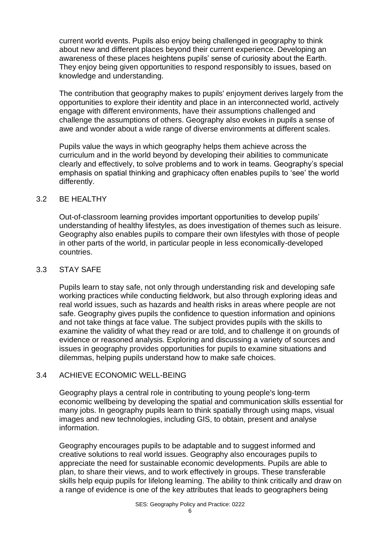current world events. Pupils also enjoy being challenged in geography to think about new and different places beyond their current experience. Developing an awareness of these places heightens pupils' sense of curiosity about the Earth. They enjoy being given opportunities to respond responsibly to issues, based on knowledge and understanding.

The contribution that geography makes to pupils' enjoyment derives largely from the opportunities to explore their identity and place in an interconnected world, actively engage with different environments, have their assumptions challenged and challenge the assumptions of others. Geography also evokes in pupils a sense of awe and wonder about a wide range of diverse environments at different scales.

Pupils value the ways in which geography helps them achieve across the curriculum and in the world beyond by developing their abilities to communicate clearly and effectively, to solve problems and to work in teams. Geography's special emphasis on spatial thinking and graphicacy often enables pupils to 'see' the world differently.

# 3.2 BE HEALTHY

Out-of-classroom learning provides important opportunities to develop pupils' understanding of healthy lifestyles, as does investigation of themes such as leisure. Geography also enables pupils to compare their own lifestyles with those of people in other parts of the world, in particular people in less economically-developed countries.

# 3.3 STAY SAFE

Pupils learn to stay safe, not only through understanding risk and developing safe working practices while conducting fieldwork, but also through exploring ideas and real world issues, such as hazards and health risks in areas where people are not safe. Geography gives pupils the confidence to question information and opinions and not take things at face value. The subject provides pupils with the skills to examine the validity of what they read or are told, and to challenge it on grounds of evidence or reasoned analysis. Exploring and discussing a variety of sources and issues in geography provides opportunities for pupils to examine situations and dilemmas, helping pupils understand how to make safe choices.

# 3.4 ACHIEVE ECONOMIC WELL-BEING

Geography plays a central role in contributing to young people's long-term economic wellbeing by developing the spatial and communication skills essential for many jobs. In geography pupils learn to think spatially through using maps, visual images and new technologies, including GIS, to obtain, present and analyse information.

Geography encourages pupils to be adaptable and to suggest informed and creative solutions to real world issues. Geography also encourages pupils to appreciate the need for sustainable economic developments. Pupils are able to plan, to share their views, and to work effectively in groups. These transferable skills help equip pupils for lifelong learning. The ability to think critically and draw on a range of evidence is one of the key attributes that leads to geographers being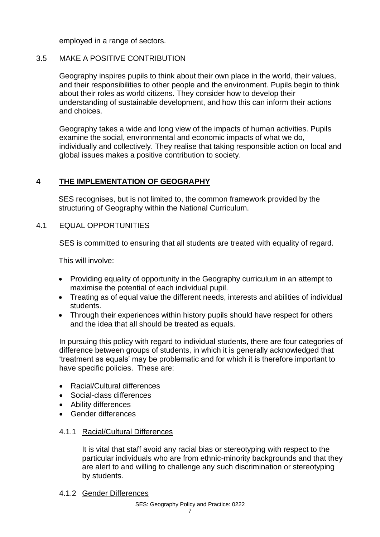employed in a range of sectors.

# 3.5 MAKE A POSITIVE CONTRIBUTION

Geography inspires pupils to think about their own place in the world, their values, and their responsibilities to other people and the environment. Pupils begin to think about their roles as world citizens. They consider how to develop their understanding of sustainable development, and how this can inform their actions and choices.

Geography takes a wide and long view of the impacts of human activities. Pupils examine the social, environmental and economic impacts of what we do, individually and collectively. They realise that taking responsible action on local and global issues makes a positive contribution to society.

# **4 THE IMPLEMENTATION OF GEOGRAPHY**

SES recognises, but is not limited to, the common framework provided by the structuring of Geography within the National Curriculum.

4.1 EQUAL OPPORTUNITIES

SES is committed to ensuring that all students are treated with equality of regard.

This will involve:

- Providing equality of opportunity in the Geography curriculum in an attempt to maximise the potential of each individual pupil.
- Treating as of equal value the different needs, interests and abilities of individual students.
- Through their experiences within history pupils should have respect for others and the idea that all should be treated as equals.

In pursuing this policy with regard to individual students, there are four categories of difference between groups of students, in which it is generally acknowledged that 'treatment as equals' may be problematic and for which it is therefore important to have specific policies. These are:

- Racial/Cultural differences
- Social-class differences
- Ability differences
- Gender differences

# 4.1.1 Racial/Cultural Differences

It is vital that staff avoid any racial bias or stereotyping with respect to the particular individuals who are from ethnic-minority backgrounds and that they are alert to and willing to challenge any such discrimination or stereotyping by students.

4.1.2 Gender Differences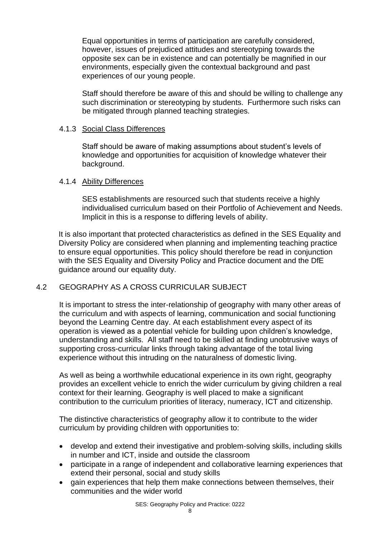Equal opportunities in terms of participation are carefully considered, however, issues of prejudiced attitudes and stereotyping towards the opposite sex can be in existence and can potentially be magnified in our environments, especially given the contextual background and past experiences of our young people.

Staff should therefore be aware of this and should be willing to challenge any such discrimination or stereotyping by students. Furthermore such risks can be mitigated through planned teaching strategies.

# 4.1.3 Social Class Differences

Staff should be aware of making assumptions about student's levels of knowledge and opportunities for acquisition of knowledge whatever their background.

# 4.1.4 Ability Differences

SES establishments are resourced such that students receive a highly individualised curriculum based on their Portfolio of Achievement and Needs. Implicit in this is a response to differing levels of ability.

It is also important that protected characteristics as defined in the SES Equality and Diversity Policy are considered when planning and implementing teaching practice to ensure equal opportunities. This policy should therefore be read in conjunction with the SES Equality and Diversity Policy and Practice document and the DfE guidance around our equality duty.

# 4.2 GEOGRAPHY AS A CROSS CURRICULAR SUBJECT

It is important to stress the inter-relationship of geography with many other areas of the curriculum and with aspects of learning, communication and social functioning beyond the Learning Centre day. At each establishment every aspect of its operation is viewed as a potential vehicle for building upon children's knowledge, understanding and skills. All staff need to be skilled at finding unobtrusive ways of supporting cross-curricular links through taking advantage of the total living experience without this intruding on the naturalness of domestic living.

As well as being a worthwhile educational experience in its own right, geography provides an excellent vehicle to enrich the wider curriculum by giving children a real context for their learning. Geography is well placed to make a significant contribution to the curriculum priorities of literacy, numeracy, ICT and citizenship.

The distinctive characteristics of geography allow it to contribute to the wider curriculum by providing children with opportunities to:

- develop and extend their investigative and problem-solving skills, including skills in number and ICT, inside and outside the classroom
- participate in a range of independent and collaborative learning experiences that extend their personal, social and study skills
- gain experiences that help them make connections between themselves, their communities and the wider world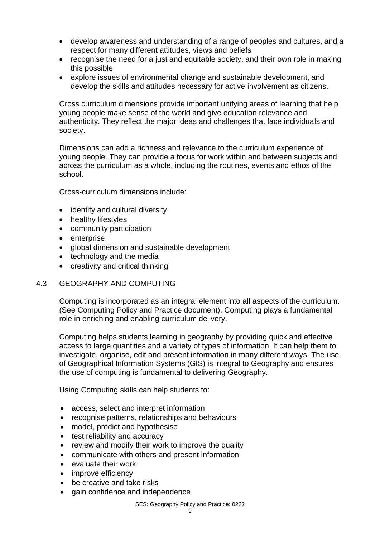- develop awareness and understanding of a range of peoples and cultures, and a respect for many different attitudes, views and beliefs
- recognise the need for a just and equitable society, and their own role in making this possible
- explore issues of environmental change and sustainable development, and develop the skills and attitudes necessary for active involvement as citizens.

Cross curriculum dimensions provide important unifying areas of learning that help young people make sense of the world and give education relevance and authenticity. They reflect the major ideas and challenges that face individuals and society.

Dimensions can add a richness and relevance to the curriculum experience of young people. They can provide a focus for work within and between subjects and across the curriculum as a whole, including the routines, events and ethos of the school.

Cross-curriculum dimensions include:

- identity and cultural diversity
- healthy lifestyles
- community participation
- enterprise
- global dimension and sustainable development
- technology and the media
- creativity and critical thinking

# 4.3 GEOGRAPHY AND COMPUTING

Computing is incorporated as an integral element into all aspects of the curriculum. (See Computing Policy and Practice document). Computing plays a fundamental role in enriching and enabling curriculum delivery.

Computing helps students learning in geography by providing quick and effective access to large quantities and a variety of types of information. It can help them to investigate, organise, edit and present information in many different ways. The use of Geographical Information Systems (GIS) is integral to Geography and ensures the use of computing is fundamental to delivering Geography.

Using Computing skills can help students to:

- access, select and interpret information
- recognise patterns, relationships and behaviours
- model, predict and hypothesise
- test reliability and accuracy
- review and modify their work to improve the quality
- communicate with others and present information
- evaluate their work
- improve efficiency
- be creative and take risks
- gain confidence and independence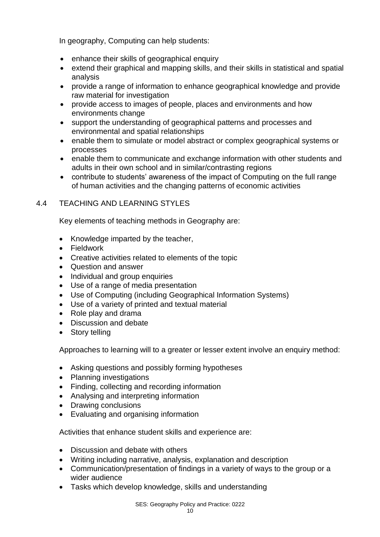In geography, Computing can help students:

- enhance their skills of geographical enquiry
- extend their graphical and mapping skills, and their skills in statistical and spatial analysis
- provide a range of information to enhance geographical knowledge and provide raw material for investigation
- provide access to images of people, places and environments and how environments change
- support the understanding of geographical patterns and processes and environmental and spatial relationships
- enable them to simulate or model abstract or complex geographical systems or processes
- enable them to communicate and exchange information with other students and adults in their own school and in similar/contrasting regions
- contribute to students' awareness of the impact of Computing on the full range of human activities and the changing patterns of economic activities

# 4.4 TEACHING AND LEARNING STYLES

Key elements of teaching methods in Geography are:

- Knowledge imparted by the teacher,
- Fieldwork
- Creative activities related to elements of the topic
- Question and answer
- Individual and group enquiries
- Use of a range of media presentation
- Use of Computing (including Geographical Information Systems)
- Use of a variety of printed and textual material
- Role play and drama
- Discussion and debate
- Story telling

Approaches to learning will to a greater or lesser extent involve an enquiry method:

- Asking questions and possibly forming hypotheses
- Planning investigations
- Finding, collecting and recording information
- Analysing and interpreting information
- Drawing conclusions
- Evaluating and organising information

Activities that enhance student skills and experience are:

- Discussion and debate with others
- Writing including narrative, analysis, explanation and description
- Communication/presentation of findings in a variety of ways to the group or a wider audience
- Tasks which develop knowledge, skills and understanding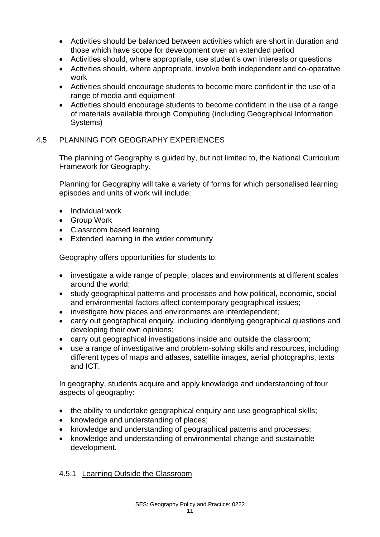- Activities should be balanced between activities which are short in duration and those which have scope for development over an extended period
- Activities should, where appropriate, use student's own interests or questions
- Activities should, where appropriate, involve both independent and co-operative work
- Activities should encourage students to become more confident in the use of a range of media and equipment
- Activities should encourage students to become confident in the use of a range of materials available through Computing (including Geographical Information Systems)

# 4.5 PLANNING FOR GEOGRAPHY EXPERIENCES

The planning of Geography is guided by, but not limited to, the National Curriculum Framework for Geography.

Planning for Geography will take a variety of forms for which personalised learning episodes and units of work will include:

- Individual work
- Group Work
- Classroom based learning
- Extended learning in the wider community

Geography offers opportunities for students to:

- investigate a wide range of people, places and environments at different scales around the world;
- study geographical patterns and processes and how political, economic, social and environmental factors affect contemporary geographical issues;
- investigate how places and environments are interdependent:
- carry out geographical enquiry, including identifying geographical questions and developing their own opinions;
- carry out geographical investigations inside and outside the classroom;
- use a range of investigative and problem-solving skills and resources, including different types of maps and atlases, satellite images, aerial photographs, texts and ICT.

In geography, students acquire and apply knowledge and understanding of four aspects of geography:

- the ability to undertake geographical enquiry and use geographical skills;
- knowledge and understanding of places;
- knowledge and understanding of geographical patterns and processes;
- knowledge and understanding of environmental change and sustainable development.

4.5.1 Learning Outside the Classroom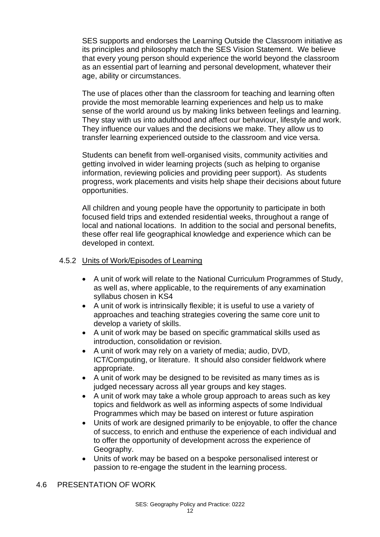SES supports and endorses the Learning Outside the Classroom initiative as its principles and philosophy match the SES Vision Statement. We believe that every young person should experience the world beyond the classroom as an essential part of learning and personal development, whatever their age, ability or circumstances.

The use of places other than the classroom for teaching and learning often provide the most memorable learning experiences and help us to make sense of the world around us by making links between feelings and learning. They stay with us into adulthood and affect our behaviour, lifestyle and work. They influence our values and the decisions we make. They allow us to transfer learning experienced outside to the classroom and vice versa.

Students can benefit from well-organised visits, community activities and getting involved in wider learning projects (such as helping to organise information, reviewing policies and providing peer support). As students progress, work placements and visits help shape their decisions about future opportunities.

All children and young people have the opportunity to participate in both focused field trips and extended residential weeks, throughout a range of local and national locations. In addition to the social and personal benefits, these offer real life geographical knowledge and experience which can be developed in context.

# 4.5.2 Units of Work/Episodes of Learning

- A unit of work will relate to the National Curriculum Programmes of Study, as well as, where applicable, to the requirements of any examination syllabus chosen in KS4
- A unit of work is intrinsically flexible; it is useful to use a variety of approaches and teaching strategies covering the same core unit to develop a variety of skills.
- A unit of work may be based on specific grammatical skills used as introduction, consolidation or revision.
- A unit of work may rely on a variety of media; audio, DVD, ICT/Computing, or literature. It should also consider fieldwork where appropriate.
- A unit of work may be designed to be revisited as many times as is judged necessary across all year groups and key stages.
- A unit of work may take a whole group approach to areas such as key topics and fieldwork as well as informing aspects of some Individual Programmes which may be based on interest or future aspiration
- Units of work are designed primarily to be enjoyable, to offer the chance of success, to enrich and enthuse the experience of each individual and to offer the opportunity of development across the experience of Geography.
- Units of work may be based on a bespoke personalised interest or passion to re-engage the student in the learning process.

# 4.6 PRESENTATION OF WORK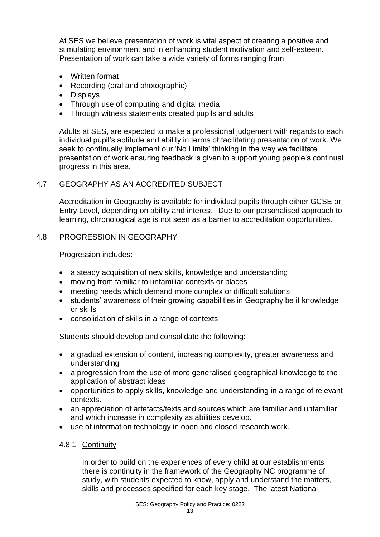At SES we believe presentation of work is vital aspect of creating a positive and stimulating environment and in enhancing student motivation and self-esteem. Presentation of work can take a wide variety of forms ranging from:

- Written format
- Recording (oral and photographic)
- Displays
- Through use of computing and digital media
- Through witness statements created pupils and adults

Adults at SES, are expected to make a professional judgement with regards to each individual pupil's aptitude and ability in terms of facilitating presentation of work. We seek to continually implement our 'No Limits' thinking in the way we facilitate presentation of work ensuring feedback is given to support young people's continual progress in this area.

# 4.7 GEOGRAPHY AS AN ACCREDITED SUBJECT

Accreditation in Geography is available for individual pupils through either GCSE or Entry Level, depending on ability and interest. Due to our personalised approach to learning, chronological age is not seen as a barrier to accreditation opportunities.

# 4.8 PROGRESSION IN GEOGRAPHY

Progression includes:

- a steady acquisition of new skills, knowledge and understanding
- moving from familiar to unfamiliar contexts or places
- meeting needs which demand more complex or difficult solutions
- students' awareness of their growing capabilities in Geography be it knowledge or skills
- consolidation of skills in a range of contexts

Students should develop and consolidate the following:

- a gradual extension of content, increasing complexity, greater awareness and understanding
- a progression from the use of more generalised geographical knowledge to the application of abstract ideas
- opportunities to apply skills, knowledge and understanding in a range of relevant contexts.
- an appreciation of artefacts/texts and sources which are familiar and unfamiliar and which increase in complexity as abilities develop.
- use of information technology in open and closed research work.

# 4.8.1 Continuity

In order to build on the experiences of every child at our establishments there is continuity in the framework of the Geography NC programme of study, with students expected to know, apply and understand the matters, skills and processes specified for each key stage. The latest National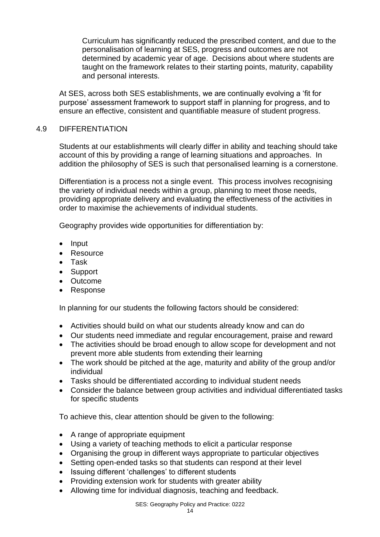Curriculum has significantly reduced the prescribed content, and due to the personalisation of learning at SES, progress and outcomes are not determined by academic year of age. Decisions about where students are taught on the framework relates to their starting points, maturity, capability and personal interests.

At SES, across both SES establishments, we are continually evolving a 'fit for purpose' assessment framework to support staff in planning for progress, and to ensure an effective, consistent and quantifiable measure of student progress.

#### 4.9 DIFFERENTIATION

Students at our establishments will clearly differ in ability and teaching should take account of this by providing a range of learning situations and approaches. In addition the philosophy of SES is such that personalised learning is a cornerstone.

Differentiation is a process not a single event. This process involves recognising the variety of individual needs within a group, planning to meet those needs, providing appropriate delivery and evaluating the effectiveness of the activities in order to maximise the achievements of individual students.

Geography provides wide opportunities for differentiation by:

- Input
- Resource
- Task
- Support
- Outcome
- Response

In planning for our students the following factors should be considered:

- Activities should build on what our students already know and can do
- Our students need immediate and regular encouragement, praise and reward
- The activities should be broad enough to allow scope for development and not prevent more able students from extending their learning
- The work should be pitched at the age, maturity and ability of the group and/or individual
- Tasks should be differentiated according to individual student needs
- Consider the balance between group activities and individual differentiated tasks for specific students

To achieve this, clear attention should be given to the following:

- A range of appropriate equipment
- Using a variety of teaching methods to elicit a particular response
- Organising the group in different ways appropriate to particular objectives
- Setting open-ended tasks so that students can respond at their level
- Issuing different 'challenges' to different students
- Providing extension work for students with greater ability
- Allowing time for individual diagnosis, teaching and feedback.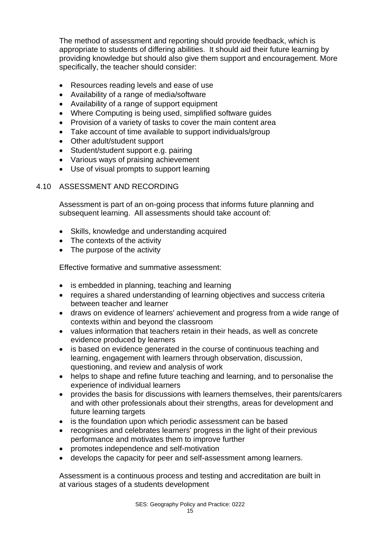The method of assessment and reporting should provide feedback, which is appropriate to students of differing abilities. It should aid their future learning by providing knowledge but should also give them support and encouragement. More specifically, the teacher should consider:

- Resources reading levels and ease of use
- Availability of a range of media/software
- Availability of a range of support equipment
- Where Computing is being used, simplified software guides
- Provision of a variety of tasks to cover the main content area
- Take account of time available to support individuals/group
- Other adult/student support
- Student/student support e.g. pairing
- Various ways of praising achievement
- Use of visual prompts to support learning

# 4.10 ASSESSMENT AND RECORDING

Assessment is part of an on-going process that informs future planning and subsequent learning. All assessments should take account of:

- Skills, knowledge and understanding acquired
- The contexts of the activity
- The purpose of the activity

Effective formative and summative assessment:

- is embedded in planning, teaching and learning
- requires a shared understanding of learning objectives and success criteria between teacher and learner
- draws on evidence of learners' achievement and progress from a wide range of contexts within and beyond the classroom
- values information that teachers retain in their heads, as well as concrete evidence produced by learners
- is based on evidence generated in the course of continuous teaching and learning, engagement with learners through observation, discussion, questioning, and review and analysis of work
- helps to shape and refine future teaching and learning, and to personalise the experience of individual learners
- provides the basis for discussions with learners themselves, their parents/carers and with other professionals about their strengths, areas for development and future learning targets
- is the foundation upon which periodic assessment can be based
- recognises and celebrates learners' progress in the light of their previous performance and motivates them to improve further
- promotes independence and self-motivation
- develops the capacity for peer and self-assessment among learners.

Assessment is a continuous process and testing and accreditation are built in at various stages of a students development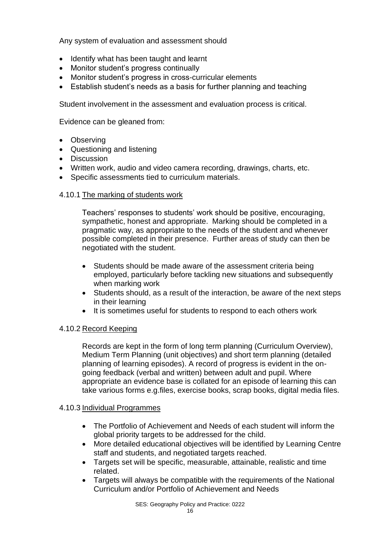Any system of evaluation and assessment should

- Identify what has been taught and learnt
- Monitor student's progress continually
- Monitor student's progress in cross-curricular elements
- Establish student's needs as a basis for further planning and teaching

Student involvement in the assessment and evaluation process is critical.

Evidence can be gleaned from:

- Observing
- Questioning and listening
- Discussion
- Written work, audio and video camera recording, drawings, charts, etc.
- Specific assessments tied to curriculum materials.

# 4.10.1 The marking of students work

Teachers' responses to students' work should be positive, encouraging, sympathetic, honest and appropriate. Marking should be completed in a pragmatic way, as appropriate to the needs of the student and whenever possible completed in their presence. Further areas of study can then be negotiated with the student.

- Students should be made aware of the assessment criteria being employed, particularly before tackling new situations and subsequently when marking work
- Students should, as a result of the interaction, be aware of the next steps in their learning
- It is sometimes useful for students to respond to each others work

# 4.10.2 Record Keeping

Records are kept in the form of long term planning (Curriculum Overview), Medium Term Planning (unit objectives) and short term planning (detailed planning of learning episodes). A record of progress is evident in the ongoing feedback (verbal and written) between adult and pupil. Where appropriate an evidence base is collated for an episode of learning this can take various forms e.g.files, exercise books, scrap books, digital media files.

# 4.10.3 Individual Programmes

- The Portfolio of Achievement and Needs of each student will inform the global priority targets to be addressed for the child.
- More detailed educational objectives will be identified by Learning Centre staff and students, and negotiated targets reached.
- Targets set will be specific, measurable, attainable, realistic and time related.
- Targets will always be compatible with the requirements of the National Curriculum and/or Portfolio of Achievement and Needs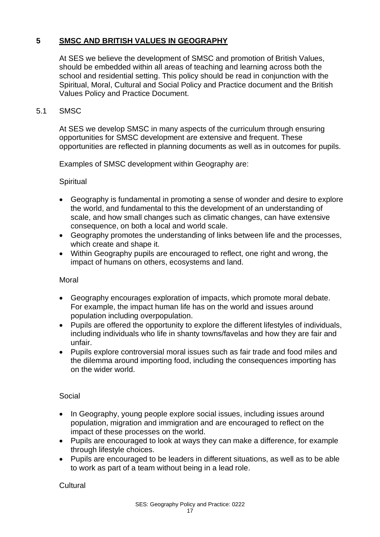# **5 SMSC AND BRITISH VALUES IN GEOGRAPHY**

At SES we believe the development of SMSC and promotion of British Values, should be embedded within all areas of teaching and learning across both the school and residential setting. This policy should be read in conjunction with the Spiritual, Moral, Cultural and Social Policy and Practice document and the British Values Policy and Practice Document.

# 5.1 SMSC

At SES we develop SMSC in many aspects of the curriculum through ensuring opportunities for SMSC development are extensive and frequent. These opportunities are reflected in planning documents as well as in outcomes for pupils.

Examples of SMSC development within Geography are:

#### **Spiritual**

- Geography is fundamental in promoting a sense of wonder and desire to explore the world, and fundamental to this the development of an understanding of scale, and how small changes such as climatic changes, can have extensive consequence, on both a local and world scale.
- Geography promotes the understanding of links between life and the processes, which create and shape it.
- Within Geography pupils are encouraged to reflect, one right and wrong, the impact of humans on others, ecosystems and land.

# Moral

- Geography encourages exploration of impacts, which promote moral debate. For example, the impact human life has on the world and issues around population including overpopulation.
- Pupils are offered the opportunity to explore the different lifestyles of individuals, including individuals who life in shanty towns/favelas and how they are fair and unfair.
- Pupils explore controversial moral issues such as fair trade and food miles and the dilemma around importing food, including the consequences importing has on the wider world.

# Social

- In Geography, young people explore social issues, including issues around population, migration and immigration and are encouraged to reflect on the impact of these processes on the world.
- Pupils are encouraged to look at ways they can make a difference, for example through lifestyle choices.
- Pupils are encouraged to be leaders in different situations, as well as to be able to work as part of a team without being in a lead role.

**Cultural**